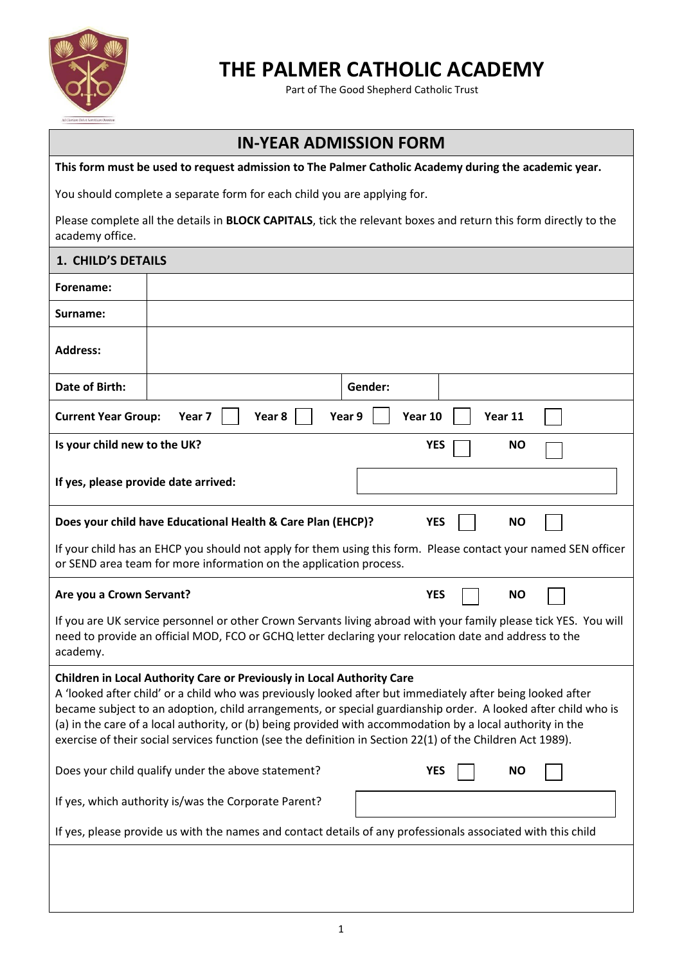

## **THE PALMER CATHOLIC ACADEMY**

Part of The Good Shepherd Catholic Trust

## **IN-YEAR ADMISSION FORM**

**This form must be used to request admission to The Palmer Catholic Academy during the academic year.**

You should complete a separate form for each child you are applying for.

Please complete all the details in **BLOCK CAPITALS**, tick the relevant boxes and return this form directly to the academy office.

| 1. CHILD'S DETAILS                                                                                                                                                                                                                                                                                                                                                                                                                                                                                                                |                                                                 |  |  |  |  |  |  |
|-----------------------------------------------------------------------------------------------------------------------------------------------------------------------------------------------------------------------------------------------------------------------------------------------------------------------------------------------------------------------------------------------------------------------------------------------------------------------------------------------------------------------------------|-----------------------------------------------------------------|--|--|--|--|--|--|
| Forename:                                                                                                                                                                                                                                                                                                                                                                                                                                                                                                                         |                                                                 |  |  |  |  |  |  |
| Surname:                                                                                                                                                                                                                                                                                                                                                                                                                                                                                                                          |                                                                 |  |  |  |  |  |  |
| <b>Address:</b>                                                                                                                                                                                                                                                                                                                                                                                                                                                                                                                   |                                                                 |  |  |  |  |  |  |
| Date of Birth:                                                                                                                                                                                                                                                                                                                                                                                                                                                                                                                    | Gender:                                                         |  |  |  |  |  |  |
| Year 8<br>Year 9<br>Year 10<br><b>Current Year Group:</b><br>Year 7<br>Year 11                                                                                                                                                                                                                                                                                                                                                                                                                                                    |                                                                 |  |  |  |  |  |  |
| Is your child new to the UK?<br><b>YES</b><br><b>NO</b>                                                                                                                                                                                                                                                                                                                                                                                                                                                                           |                                                                 |  |  |  |  |  |  |
| If yes, please provide date arrived:                                                                                                                                                                                                                                                                                                                                                                                                                                                                                              |                                                                 |  |  |  |  |  |  |
| Does your child have Educational Health & Care Plan (EHCP)?<br><b>YES</b><br><b>NO</b>                                                                                                                                                                                                                                                                                                                                                                                                                                            |                                                                 |  |  |  |  |  |  |
| If your child has an EHCP you should not apply for them using this form. Please contact your named SEN officer<br>or SEND area team for more information on the application process.                                                                                                                                                                                                                                                                                                                                              |                                                                 |  |  |  |  |  |  |
| Are you a Crown Servant?                                                                                                                                                                                                                                                                                                                                                                                                                                                                                                          | <b>YES</b><br><b>NO</b>                                         |  |  |  |  |  |  |
| If you are UK service personnel or other Crown Servants living abroad with your family please tick YES. You will<br>need to provide an official MOD, FCO or GCHQ letter declaring your relocation date and address to the<br>academy.                                                                                                                                                                                                                                                                                             |                                                                 |  |  |  |  |  |  |
| Children in Local Authority Care or Previously in Local Authority Care<br>A 'looked after child' or a child who was previously looked after but immediately after being looked after<br>became subject to an adoption, child arrangements, or special guardianship order. A looked after child who is<br>(a) in the care of a local authority, or (b) being provided with accommodation by a local authority in the<br>exercise of their social services function (see the definition in Section 22(1) of the Children Act 1989). |                                                                 |  |  |  |  |  |  |
|                                                                                                                                                                                                                                                                                                                                                                                                                                                                                                                                   | Does your child qualify under the above statement?<br>YES<br>NO |  |  |  |  |  |  |
|                                                                                                                                                                                                                                                                                                                                                                                                                                                                                                                                   | If yes, which authority is/was the Corporate Parent?            |  |  |  |  |  |  |
| If yes, please provide us with the names and contact details of any professionals associated with this child                                                                                                                                                                                                                                                                                                                                                                                                                      |                                                                 |  |  |  |  |  |  |
|                                                                                                                                                                                                                                                                                                                                                                                                                                                                                                                                   |                                                                 |  |  |  |  |  |  |